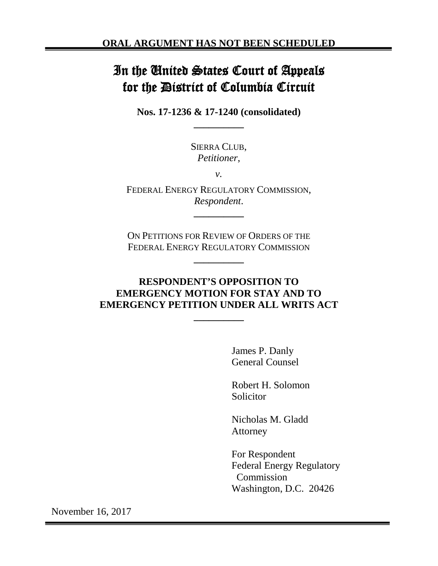# In the United States Court of Appeals for the District of Columbia Circuit

**Nos. 17-1236 & 17-1240 (consolidated) \_\_\_\_\_\_\_\_\_\_**

> SIERRA CLUB, *Petitioner*,

> > *v.*

FEDERAL ENERGY REGULATORY COMMISSION, *Respondent*.

**\_\_\_\_\_\_\_\_\_\_**

ON PETITIONS FOR REVIEW OF ORDERS OF THE FEDERAL ENERGY REGULATORY COMMISSION

**\_\_\_\_\_\_\_\_\_\_**

## **RESPONDENT'S OPPOSITION TO EMERGENCY MOTION FOR STAY AND TO EMERGENCY PETITION UNDER ALL WRITS ACT**

**\_\_\_\_\_\_\_\_\_\_**

James P. Danly General Counsel

Robert H. Solomon **Solicitor** 

Nicholas M. Gladd Attorney

For Respondent Federal Energy Regulatory Commission Washington, D.C. 20426

November 16, 2017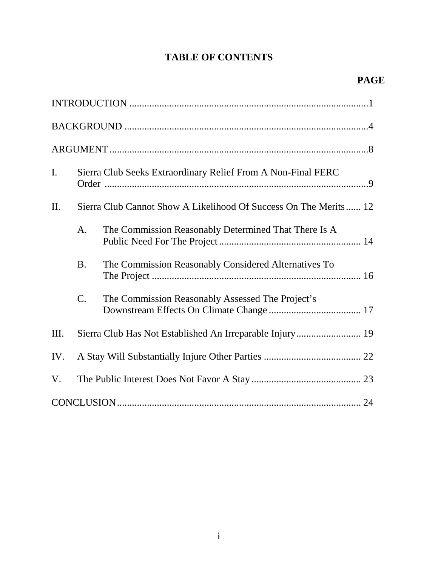# **TABLE OF CONTENTS**

| $\mathbf{I}$ . | Sierra Club Seeks Extraordinary Relief From A Non-Final FERC     |                                                      |  |
|----------------|------------------------------------------------------------------|------------------------------------------------------|--|
| II.            | Sierra Club Cannot Show A Likelihood Of Success On The Merits 12 |                                                      |  |
|                | A.                                                               | The Commission Reasonably Determined That There Is A |  |
|                | <b>B.</b>                                                        | The Commission Reasonably Considered Alternatives To |  |
|                | $\mathcal{C}$ .                                                  | The Commission Reasonably Assessed The Project's     |  |
| Ш.             | Sierra Club Has Not Established An Irreparable Injury 19         |                                                      |  |
| IV.            |                                                                  |                                                      |  |
| V.             |                                                                  |                                                      |  |
|                |                                                                  |                                                      |  |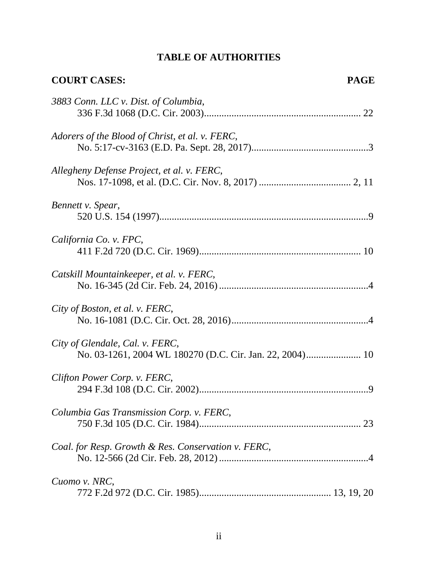| <b>COURT CASES:</b>                                 | <b>PAGE</b> |
|-----------------------------------------------------|-------------|
| 3883 Conn. LLC v. Dist. of Columbia,                |             |
| Adorers of the Blood of Christ, et al. v. FERC,     |             |
| Allegheny Defense Project, et al. v. FERC,          |             |
| Bennett v. Spear,                                   |             |
| California Co. v. FPC,                              |             |
| Catskill Mountainkeeper, et al. v. FERC,            |             |
| City of Boston, et al. v. FERC,                     |             |
| City of Glendale, Cal. v. FERC,                     |             |
| Clifton Power Corp. v. FERC,                        |             |
| Columbia Gas Transmission Corp. v. FERC,            |             |
| Coal. for Resp. Growth & Res. Conservation v. FERC, |             |
| Cuomo v. NRC,                                       |             |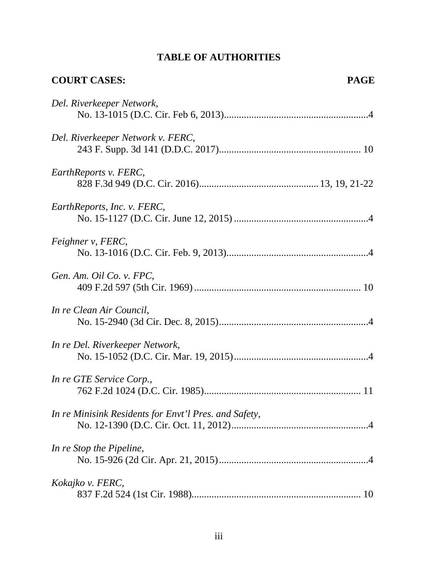| <b>COURT CASES:</b>                                   | <b>PAGE</b> |
|-------------------------------------------------------|-------------|
| Del. Riverkeeper Network,                             |             |
| Del. Riverkeeper Network v. FERC,                     |             |
| EarthReports v. FERC,                                 |             |
| EarthReports, Inc. v. FERC,                           |             |
| Feighner v, FERC,                                     |             |
| Gen. Am. Oil Co. v. FPC,                              |             |
| In re Clean Air Council,                              |             |
| In re Del. Riverkeeper Network,                       |             |
| In re GTE Service Corp.,                              |             |
| In re Minisink Residents for Envt'l Pres. and Safety, |             |
| In re Stop the Pipeline,                              |             |
| Kokajko v. FERC,                                      |             |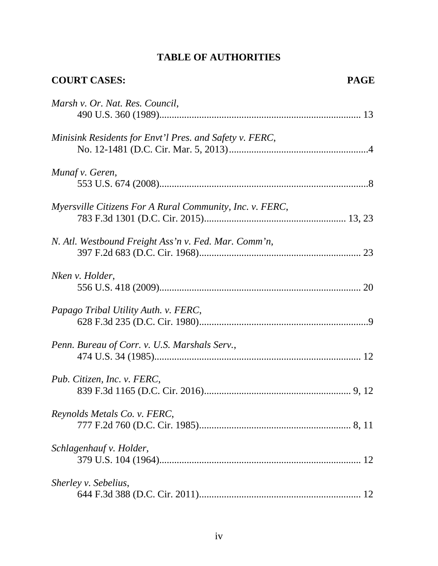| <b>COURT CASES:</b>                                      | <b>PAGE</b> |
|----------------------------------------------------------|-------------|
| Marsh v. Or. Nat. Res. Council,                          |             |
| Minisink Residents for Envt'l Pres. and Safety v. FERC,  |             |
| Munaf v. Geren,                                          |             |
| Myersville Citizens For A Rural Community, Inc. v. FERC, |             |
| N. Atl. Westbound Freight Ass'n v. Fed. Mar. Comm'n,     |             |
| Nken v. Holder,                                          |             |
| Papago Tribal Utility Auth. v. FERC,                     |             |
| Penn. Bureau of Corr. v. U.S. Marshals Serv.,            |             |
| Pub. Citizen, Inc. v. FERC,                              |             |
| Reynolds Metals Co. v. FERC,                             |             |
| Schlagenhauf v. Holder,                                  |             |
| Sherley v. Sebelius,                                     |             |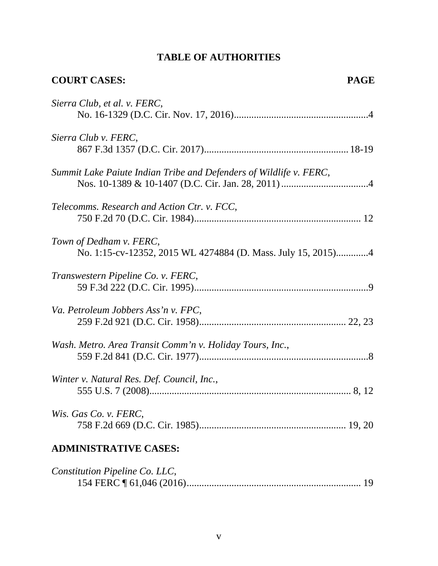| <b>COURT CASES:</b><br><b>PAGE</b>                                                      |  |
|-----------------------------------------------------------------------------------------|--|
| Sierra Club, et al. v. FERC,                                                            |  |
| Sierra Club v. FERC,                                                                    |  |
| Summit Lake Paiute Indian Tribe and Defenders of Wildlife v. FERC,                      |  |
| Telecomms. Research and Action Ctr. v. FCC,                                             |  |
| Town of Dedham v. FERC,<br>No. 1:15-cv-12352, 2015 WL 4274884 (D. Mass. July 15, 2015)4 |  |
| Transwestern Pipeline Co. v. FERC,                                                      |  |
| Va. Petroleum Jobbers Ass'n v. FPC,                                                     |  |
| Wash. Metro. Area Transit Comm'n v. Holiday Tours, Inc.,                                |  |
| Winter v. Natural Res. Def. Council, Inc.,                                              |  |
| Wis. Gas Co. v. FERC,                                                                   |  |
| <b>ADMINISTRATIVE CASES:</b>                                                            |  |
| Constitution Pipeline Co. LLC,<br>19                                                    |  |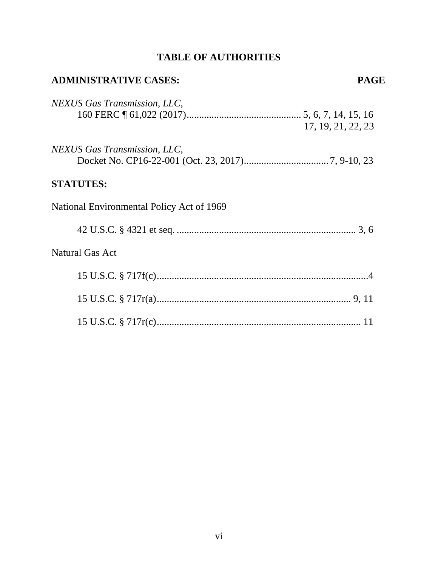| <b>ADMINISTRATIVE CASES:</b>              | <b>PAGE</b>        |
|-------------------------------------------|--------------------|
| NEXUS Gas Transmission, LLC,              | 17, 19, 21, 22, 23 |
| NEXUS Gas Transmission, LLC,              |                    |
| <b>STATUTES:</b>                          |                    |
| National Environmental Policy Act of 1969 |                    |
|                                           |                    |
| <b>Natural Gas Act</b>                    |                    |
|                                           |                    |
|                                           |                    |
|                                           |                    |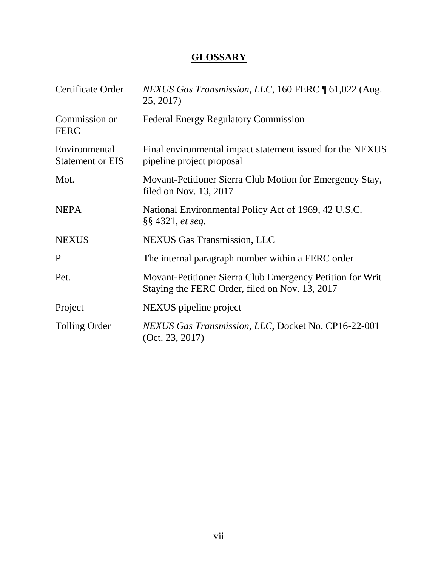# **GLOSSARY**

| Certificate Order                        | NEXUS Gas Transmission, LLC, 160 FERC 161,022 (Aug.<br>25, 2017)                                            |
|------------------------------------------|-------------------------------------------------------------------------------------------------------------|
| Commission or<br><b>FERC</b>             | <b>Federal Energy Regulatory Commission</b>                                                                 |
| Environmental<br><b>Statement or EIS</b> | Final environmental impact statement issued for the NEXUS<br>pipeline project proposal                      |
| Mot.                                     | Movant-Petitioner Sierra Club Motion for Emergency Stay,<br>filed on Nov. 13, 2017                          |
| <b>NEPA</b>                              | National Environmental Policy Act of 1969, 42 U.S.C.<br>$\S$ \$ 4321, <i>et seq.</i>                        |
| <b>NEXUS</b>                             | <b>NEXUS</b> Gas Transmission, LLC                                                                          |
| P                                        | The internal paragraph number within a FERC order                                                           |
| Pet.                                     | Movant-Petitioner Sierra Club Emergency Petition for Writ<br>Staying the FERC Order, filed on Nov. 13, 2017 |
| Project                                  | NEXUS pipeline project                                                                                      |
| <b>Tolling Order</b>                     | NEXUS Gas Transmission, LLC, Docket No. CP16-22-001<br>(Oct. 23, 2017)                                      |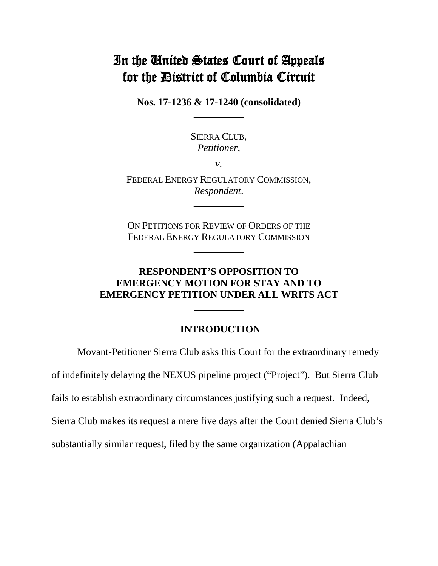# In the United States Court of Appeals for the District of Columbia Circuit

**Nos. 17-1236 & 17-1240 (consolidated) \_\_\_\_\_\_\_\_\_\_**

> SIERRA CLUB, *Petitioner*,

> > *v.*

FEDERAL ENERGY REGULATORY COMMISSION, *Respondent*.

**\_\_\_\_\_\_\_\_\_\_**

ON PETITIONS FOR REVIEW OF ORDERS OF THE FEDERAL ENERGY REGULATORY COMMISSION

**\_\_\_\_\_\_\_\_\_\_**

## **RESPONDENT'S OPPOSITION TO EMERGENCY MOTION FOR STAY AND TO EMERGENCY PETITION UNDER ALL WRITS ACT**

**\_\_\_\_\_\_\_\_\_\_**

#### **INTRODUCTION**

Movant-Petitioner Sierra Club asks this Court for the extraordinary remedy

of indefinitely delaying the NEXUS pipeline project ("Project"). But Sierra Club

fails to establish extraordinary circumstances justifying such a request. Indeed,

Sierra Club makes its request a mere five days after the Court denied Sierra Club's

substantially similar request, filed by the same organization (Appalachian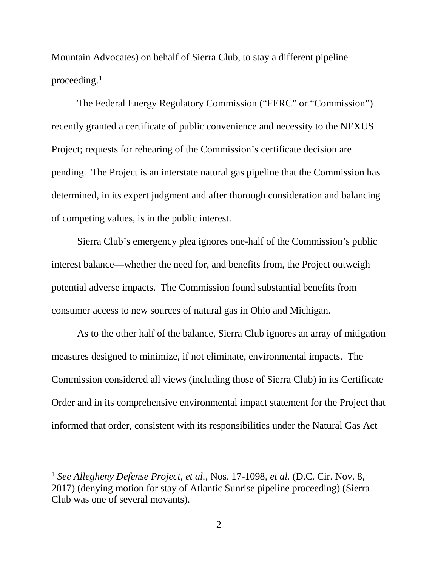Mountain Advocates) on behalf of Sierra Club, to stay a different pipeline proceeding.**[1](#page-9-0)**

The Federal Energy Regulatory Commission ("FERC" or "Commission") recently granted a certificate of public convenience and necessity to the NEXUS Project; requests for rehearing of the Commission's certificate decision are pending. The Project is an interstate natural gas pipeline that the Commission has determined, in its expert judgment and after thorough consideration and balancing of competing values, is in the public interest.

Sierra Club's emergency plea ignores one-half of the Commission's public interest balance—whether the need for, and benefits from, the Project outweigh potential adverse impacts. The Commission found substantial benefits from consumer access to new sources of natural gas in Ohio and Michigan.

As to the other half of the balance, Sierra Club ignores an array of mitigation measures designed to minimize, if not eliminate, environmental impacts. The Commission considered all views (including those of Sierra Club) in its Certificate Order and in its comprehensive environmental impact statement for the Project that informed that order, consistent with its responsibilities under the Natural Gas Act

<span id="page-9-0"></span> <sup>1</sup> *See Allegheny Defense Project, et al.*, Nos. 17-1098, *et al.* (D.C. Cir. Nov. 8, 2017) (denying motion for stay of Atlantic Sunrise pipeline proceeding) (Sierra Club was one of several movants).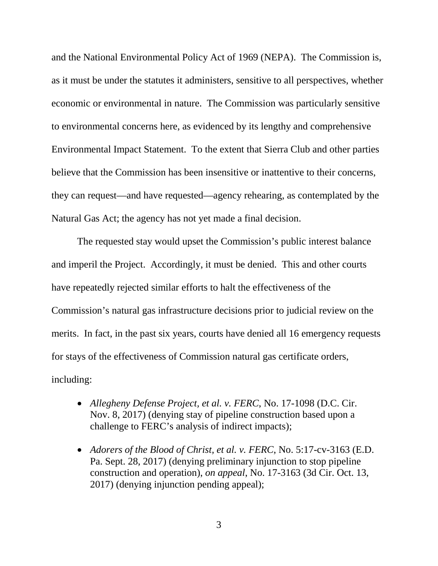and the National Environmental Policy Act of 1969 (NEPA). The Commission is, as it must be under the statutes it administers, sensitive to all perspectives, whether economic or environmental in nature. The Commission was particularly sensitive to environmental concerns here, as evidenced by its lengthy and comprehensive Environmental Impact Statement. To the extent that Sierra Club and other parties believe that the Commission has been insensitive or inattentive to their concerns, they can request—and have requested—agency rehearing, as contemplated by the Natural Gas Act; the agency has not yet made a final decision.

The requested stay would upset the Commission's public interest balance and imperil the Project. Accordingly, it must be denied. This and other courts have repeatedly rejected similar efforts to halt the effectiveness of the Commission's natural gas infrastructure decisions prior to judicial review on the merits. In fact, in the past six years, courts have denied all 16 emergency requests for stays of the effectiveness of Commission natural gas certificate orders, including:

- *Allegheny Defense Project, et al. v. FERC*, No. 17-1098 (D.C. Cir. Nov. 8, 2017) (denying stay of pipeline construction based upon a challenge to FERC's analysis of indirect impacts);
- *Adorers of the Blood of Christ, et al. v. FERC*, No. 5:17-cv-3163 (E.D. Pa. Sept. 28, 2017) (denying preliminary injunction to stop pipeline construction and operation), *on appeal*, No. 17-3163 (3d Cir. Oct. 13, 2017) (denying injunction pending appeal);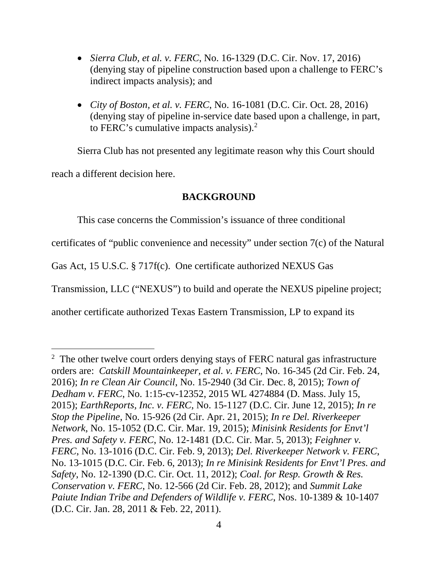- *Sierra Club, et al. v. FERC*, No. 16-1329 (D.C. Cir. Nov. 17, 2016) (denying stay of pipeline construction based upon a challenge to FERC's indirect impacts analysis); and
- *City of Boston, et al. v. FERC*, No. 16-1081 (D.C. Cir. Oct. 28, 2016) (denying stay of pipeline in-service date based upon a challenge, in part, to FERC's cumulative impacts analysis). $<sup>2</sup>$  $<sup>2</sup>$  $<sup>2</sup>$ </sup>

Sierra Club has not presented any legitimate reason why this Court should reach a different decision here.

## **BACKGROUND**

This case concerns the Commission's issuance of three conditional

certificates of "public convenience and necessity" under section 7(c) of the Natural

Gas Act, 15 U.S.C. § 717f(c). One certificate authorized NEXUS Gas

Transmission, LLC ("NEXUS") to build and operate the NEXUS pipeline project;

another certificate authorized Texas Eastern Transmission, LP to expand its

<span id="page-11-0"></span> $\frac{1}{2}$  $2 \text{ The other twelve court orders denying stays of FERC natural gas infrastructure}$ orders are: *Catskill Mountainkeeper, et al. v. FERC*, No. 16-345 (2d Cir. Feb. 24, 2016); *In re Clean Air Council*, No. 15-2940 (3d Cir. Dec. 8, 2015); *Town of Dedham v. FERC*, No. 1:15-cv-12352, 2015 WL 4274884 (D. Mass. July 15, 2015); *EarthReports, Inc. v. FERC*, No. 15-1127 (D.C. Cir. June 12, 2015); *In re Stop the Pipeline*, No. 15-926 (2d Cir. Apr. 21, 2015); *In re Del. Riverkeeper Network*, No. 15-1052 (D.C. Cir. Mar. 19, 2015); *Minisink Residents for Envt'l Pres. and Safety v. FERC*, No. 12-1481 (D.C. Cir. Mar. 5, 2013); *Feighner v. FERC*, No. 13-1016 (D.C. Cir. Feb. 9, 2013); *Del. Riverkeeper Network v. FERC*, No. 13-1015 (D.C. Cir. Feb. 6, 2013); *In re Minisink Residents for Envt'l Pres. and Safety*, No. 12-1390 (D.C. Cir. Oct. 11, 2012); *Coal. for Resp. Growth & Res. Conservation v. FERC*, No. 12-566 (2d Cir. Feb. 28, 2012); and *Summit Lake Paiute Indian Tribe and Defenders of Wildlife v. FERC*, Nos. 10-1389 & 10-1407 (D.C. Cir. Jan. 28, 2011 & Feb. 22, 2011).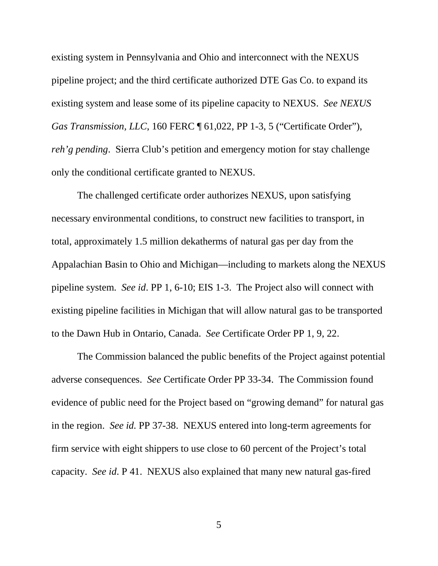existing system in Pennsylvania and Ohio and interconnect with the NEXUS pipeline project; and the third certificate authorized DTE Gas Co. to expand its existing system and lease some of its pipeline capacity to NEXUS. *See NEXUS Gas Transmission, LLC, 160 FERC*  $\parallel$  61,022, PP 1-3, 5 ("Certificate Order"), *reh'g pending*. Sierra Club's petition and emergency motion for stay challenge only the conditional certificate granted to NEXUS.

The challenged certificate order authorizes NEXUS, upon satisfying necessary environmental conditions, to construct new facilities to transport, in total, approximately 1.5 million dekatherms of natural gas per day from the Appalachian Basin to Ohio and Michigan—including to markets along the NEXUS pipeline system. *See id*. PP 1, 6-10; EIS 1-3. The Project also will connect with existing pipeline facilities in Michigan that will allow natural gas to be transported to the Dawn Hub in Ontario, Canada. *See* Certificate Order PP 1, 9, 22.

The Commission balanced the public benefits of the Project against potential adverse consequences. *See* Certificate Order PP 33-34. The Commission found evidence of public need for the Project based on "growing demand" for natural gas in the region. *See id.* PP 37-38. NEXUS entered into long-term agreements for firm service with eight shippers to use close to 60 percent of the Project's total capacity. *See id*. P 41. NEXUS also explained that many new natural gas-fired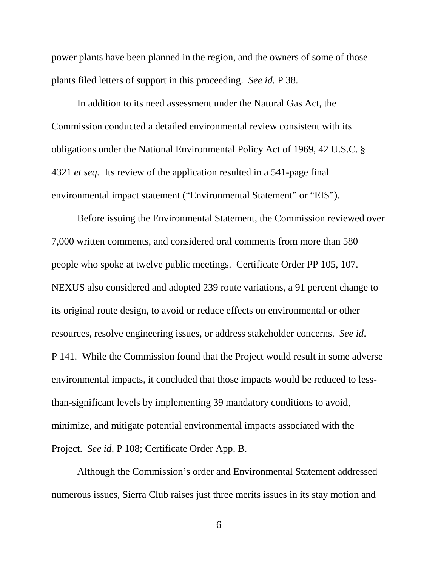power plants have been planned in the region, and the owners of some of those plants filed letters of support in this proceeding. *See id.* P 38.

In addition to its need assessment under the Natural Gas Act, the Commission conducted a detailed environmental review consistent with its obligations under the National Environmental Policy Act of 1969, 42 U.S.C. § 4321 *et seq.* Its review of the application resulted in a 541-page final environmental impact statement ("Environmental Statement" or "EIS").

Before issuing the Environmental Statement, the Commission reviewed over 7,000 written comments, and considered oral comments from more than 580 people who spoke at twelve public meetings. Certificate Order PP 105, 107. NEXUS also considered and adopted 239 route variations, a 91 percent change to its original route design, to avoid or reduce effects on environmental or other resources, resolve engineering issues, or address stakeholder concerns. *See id*. P 141. While the Commission found that the Project would result in some adverse environmental impacts, it concluded that those impacts would be reduced to lessthan-significant levels by implementing 39 mandatory conditions to avoid, minimize, and mitigate potential environmental impacts associated with the Project. *See id*. P 108; Certificate Order App. B.

Although the Commission's order and Environmental Statement addressed numerous issues, Sierra Club raises just three merits issues in its stay motion and

6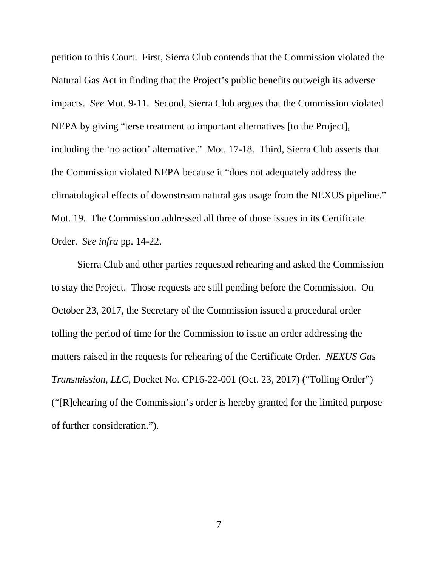petition to this Court. First, Sierra Club contends that the Commission violated the Natural Gas Act in finding that the Project's public benefits outweigh its adverse impacts. *See* Mot. 9-11. Second, Sierra Club argues that the Commission violated NEPA by giving "terse treatment to important alternatives [to the Project], including the 'no action' alternative." Mot. 17-18. Third, Sierra Club asserts that the Commission violated NEPA because it "does not adequately address the climatological effects of downstream natural gas usage from the NEXUS pipeline." Mot. 19. The Commission addressed all three of those issues in its Certificate Order. *See infra* pp. 14-22.

Sierra Club and other parties requested rehearing and asked the Commission to stay the Project. Those requests are still pending before the Commission. On October 23, 2017, the Secretary of the Commission issued a procedural order tolling the period of time for the Commission to issue an order addressing the matters raised in the requests for rehearing of the Certificate Order. *NEXUS Gas Transmission, LLC*, Docket No. CP16-22-001 (Oct. 23, 2017) ("Tolling Order") ("[R]ehearing of the Commission's order is hereby granted for the limited purpose of further consideration.").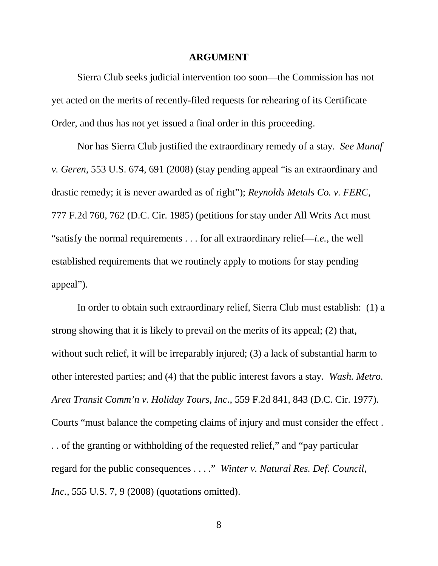#### **ARGUMENT**

Sierra Club seeks judicial intervention too soon—the Commission has not yet acted on the merits of recently-filed requests for rehearing of its Certificate Order, and thus has not yet issued a final order in this proceeding.

Nor has Sierra Club justified the extraordinary remedy of a stay. *See Munaf v. Geren*, 553 U.S. 674, 691 (2008) (stay pending appeal "is an extraordinary and drastic remedy; it is never awarded as of right"); *Reynolds Metals Co. v. FERC*, 777 F.2d 760, 762 (D.C. Cir. 1985) (petitions for stay under All Writs Act must "satisfy the normal requirements . . . for all extraordinary relief—*i.e.*, the well established requirements that we routinely apply to motions for stay pending appeal").

In order to obtain such extraordinary relief, Sierra Club must establish: (1) a strong showing that it is likely to prevail on the merits of its appeal; (2) that, without such relief, it will be irreparably injured; (3) a lack of substantial harm to other interested parties; and (4) that the public interest favors a stay. *Wash. Metro. Area Transit Comm'n v. Holiday Tours, Inc*., 559 F.2d 841, 843 (D.C. Cir. 1977). Courts "must balance the competing claims of injury and must consider the effect . . . of the granting or withholding of the requested relief," and "pay particular regard for the public consequences . . . ." *Winter v. Natural Res. Def. Council, Inc.*, 555 U.S. 7, 9 (2008) (quotations omitted).

8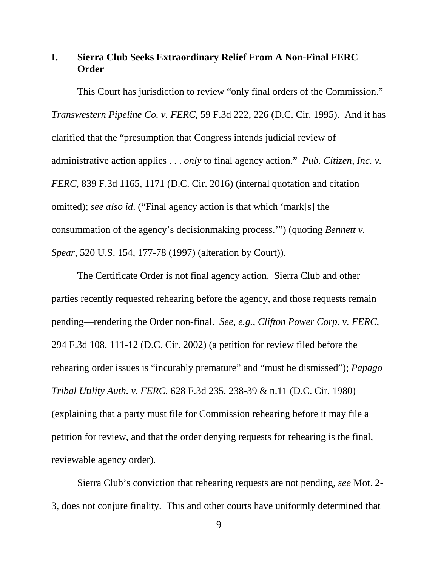## **I. Sierra Club Seeks Extraordinary Relief From A Non-Final FERC Order**

This Court has jurisdiction to review "only final orders of the Commission." *Transwestern Pipeline Co. v. FERC*, 59 F.3d 222, 226 (D.C. Cir. 1995). And it has clarified that the "presumption that Congress intends judicial review of administrative action applies . . . *only* to final agency action." *Pub. Citizen, Inc. v. FERC*, 839 F.3d 1165, 1171 (D.C. Cir. 2016) (internal quotation and citation omitted); *see also id*. ("Final agency action is that which 'mark[s] the consummation of the agency's decisionmaking process.'") (quoting *Bennett v. Spear*, 520 U.S. 154, 177-78 (1997) (alteration by Court)).

The Certificate Order is not final agency action. Sierra Club and other parties recently requested rehearing before the agency, and those requests remain pending—rendering the Order non-final. *See, e.g.*, *Clifton Power Corp. v. FERC*, 294 F.3d 108, 111-12 (D.C. Cir. 2002) (a petition for review filed before the rehearing order issues is "incurably premature" and "must be dismissed"); *Papago Tribal Utility Auth. v. FERC*, 628 F.3d 235, 238-39 & n.11 (D.C. Cir. 1980) (explaining that a party must file for Commission rehearing before it may file a petition for review, and that the order denying requests for rehearing is the final, reviewable agency order).

Sierra Club's conviction that rehearing requests are not pending, *see* Mot. 2- 3, does not conjure finality. This and other courts have uniformly determined that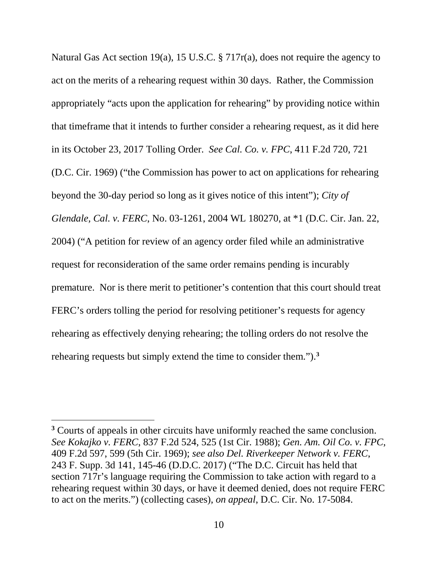Natural Gas Act section 19(a), 15 U.S.C. § 717r(a), does not require the agency to act on the merits of a rehearing request within 30 days. Rather, the Commission appropriately "acts upon the application for rehearing" by providing notice within that timeframe that it intends to further consider a rehearing request, as it did here in its October 23, 2017 Tolling Order. *See Cal. Co. v. FPC*, 411 F.2d 720, 721 (D.C. Cir. 1969) ("the Commission has power to act on applications for rehearing beyond the 30-day period so long as it gives notice of this intent"); *City of Glendale, Cal. v. FERC*, No. 03-1261, 2004 WL 180270, at \*1 (D.C. Cir. Jan. 22, 2004) ("A petition for review of an agency order filed while an administrative request for reconsideration of the same order remains pending is incurably premature. Nor is there merit to petitioner's contention that this court should treat FERC's orders tolling the period for resolving petitioner's requests for agency rehearing as effectively denying rehearing; the tolling orders do not resolve the rehearing requests but simply extend the time to consider them."). **[3](#page-17-0)**

 $\overline{a}$ 

<span id="page-17-0"></span>**<sup>3</sup>** Courts of appeals in other circuits have uniformly reached the same conclusion. *See Kokajko v. FERC*, 837 F.2d 524, 525 (1st Cir. 1988); *Gen. Am. Oil Co. v. FPC*, 409 F.2d 597, 599 (5th Cir. 1969); *see also Del. Riverkeeper Network v. FERC*, 243 F. Supp. 3d 141, 145-46 (D.D.C. 2017) ("The D.C. Circuit has held that section 717r's language requiring the Commission to take action with regard to a rehearing request within 30 days, or have it deemed denied, does not require FERC to act on the merits.") (collecting cases), *on appeal*, D.C. Cir. No. 17-5084.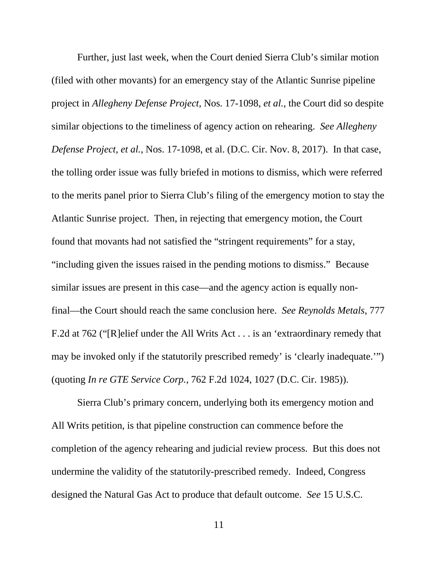Further, just last week, when the Court denied Sierra Club's similar motion (filed with other movants) for an emergency stay of the Atlantic Sunrise pipeline project in *Allegheny Defense Project*, Nos. 17-1098, *et al.*, the Court did so despite similar objections to the timeliness of agency action on rehearing. *See Allegheny Defense Project, et al.*, Nos. 17-1098, et al. (D.C. Cir. Nov. 8, 2017). In that case, the tolling order issue was fully briefed in motions to dismiss, which were referred to the merits panel prior to Sierra Club's filing of the emergency motion to stay the Atlantic Sunrise project. Then, in rejecting that emergency motion, the Court found that movants had not satisfied the "stringent requirements" for a stay, "including given the issues raised in the pending motions to dismiss." Because similar issues are present in this case—and the agency action is equally nonfinal—the Court should reach the same conclusion here. *See Reynolds Metals*, 777 F.2d at 762 ("[R]elief under the All Writs Act . . . is an 'extraordinary remedy that may be invoked only if the statutorily prescribed remedy' is 'clearly inadequate.'") (quoting *In re GTE Service Corp.*, 762 F.2d 1024, 1027 (D.C. Cir. 1985)).

Sierra Club's primary concern, underlying both its emergency motion and All Writs petition, is that pipeline construction can commence before the completion of the agency rehearing and judicial review process. But this does not undermine the validity of the statutorily-prescribed remedy. Indeed, Congress designed the Natural Gas Act to produce that default outcome. *See* 15 U.S.C.

11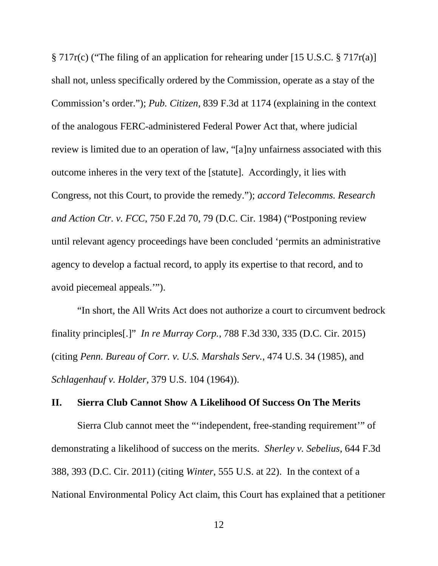§ 717r(c) ("The filing of an application for rehearing under [15 U.S.C. § 717r(a)] shall not, unless specifically ordered by the Commission, operate as a stay of the Commission's order."); *Pub. Citizen*, 839 F.3d at 1174 (explaining in the context of the analogous FERC-administered Federal Power Act that, where judicial review is limited due to an operation of law, "[a]ny unfairness associated with this outcome inheres in the very text of the [statute]. Accordingly, it lies with Congress, not this Court, to provide the remedy."); *accord Telecomms. Research and Action Ctr. v. FCC*, 750 F.2d 70, 79 (D.C. Cir. 1984) ("Postponing review until relevant agency proceedings have been concluded 'permits an administrative agency to develop a factual record, to apply its expertise to that record, and to avoid piecemeal appeals.'").

"In short, the All Writs Act does not authorize a court to circumvent bedrock finality principles[.]" *In re Murray Corp.*, 788 F.3d 330, 335 (D.C. Cir. 2015) (citing *Penn. Bureau of Corr. v. U.S. Marshals Serv.*, 474 U.S. 34 (1985), and *Schlagenhauf v. Holder*, 379 U.S. 104 (1964)).

#### **II. Sierra Club Cannot Show A Likelihood Of Success On The Merits**

Sierra Club cannot meet the "'independent, free-standing requirement'" of demonstrating a likelihood of success on the merits. *Sherley v. Sebelius*, 644 F.3d 388, 393 (D.C. Cir. 2011) (citing *Winter*, 555 U.S. at 22). In the context of a National Environmental Policy Act claim, this Court has explained that a petitioner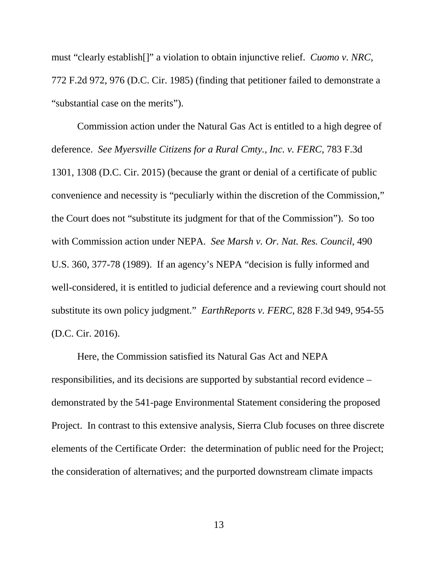must "clearly establish[]" a violation to obtain injunctive relief. *Cuomo v. NRC*, 772 F.2d 972, 976 (D.C. Cir. 1985) (finding that petitioner failed to demonstrate a "substantial case on the merits").

Commission action under the Natural Gas Act is entitled to a high degree of deference. *See Myersville Citizens for a Rural Cmty., Inc. v. FERC*, 783 F.3d 1301, 1308 (D.C. Cir. 2015) (because the grant or denial of a certificate of public convenience and necessity is "peculiarly within the discretion of the Commission," the Court does not "substitute its judgment for that of the Commission"). So too with Commission action under NEPA. *See Marsh v. Or. Nat. Res. Council*, 490 U.S. 360, 377-78 (1989). If an agency's NEPA "decision is fully informed and well-considered, it is entitled to judicial deference and a reviewing court should not substitute its own policy judgment." *EarthReports v. FERC*, 828 F.3d 949, 954-55 (D.C. Cir. 2016).

Here, the Commission satisfied its Natural Gas Act and NEPA responsibilities, and its decisions are supported by substantial record evidence *–* demonstrated by the 541-page Environmental Statement considering the proposed Project. In contrast to this extensive analysis, Sierra Club focuses on three discrete elements of the Certificate Order: the determination of public need for the Project; the consideration of alternatives; and the purported downstream climate impacts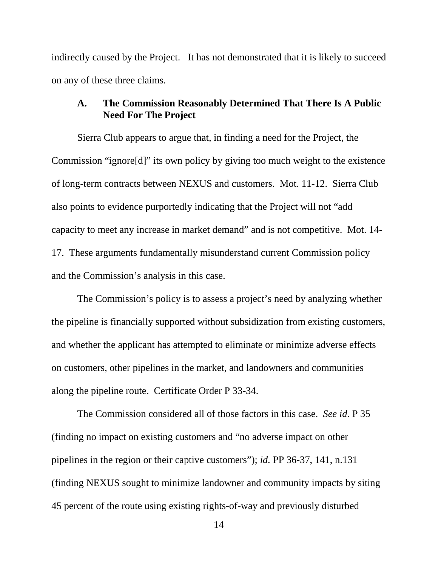indirectly caused by the Project. It has not demonstrated that it is likely to succeed on any of these three claims.

### **A. The Commission Reasonably Determined That There Is A Public Need For The Project**

Sierra Club appears to argue that, in finding a need for the Project, the Commission "ignore[d]" its own policy by giving too much weight to the existence of long-term contracts between NEXUS and customers. Mot. 11-12. Sierra Club also points to evidence purportedly indicating that the Project will not "add capacity to meet any increase in market demand" and is not competitive. Mot. 14- 17. These arguments fundamentally misunderstand current Commission policy and the Commission's analysis in this case.

The Commission's policy is to assess a project's need by analyzing whether the pipeline is financially supported without subsidization from existing customers, and whether the applicant has attempted to eliminate or minimize adverse effects on customers, other pipelines in the market, and landowners and communities along the pipeline route. Certificate Order P 33-34.

The Commission considered all of those factors in this case. *See id.* P 35 (finding no impact on existing customers and "no adverse impact on other pipelines in the region or their captive customers"); *id.* PP 36-37, 141, n.131 (finding NEXUS sought to minimize landowner and community impacts by siting 45 percent of the route using existing rights-of-way and previously disturbed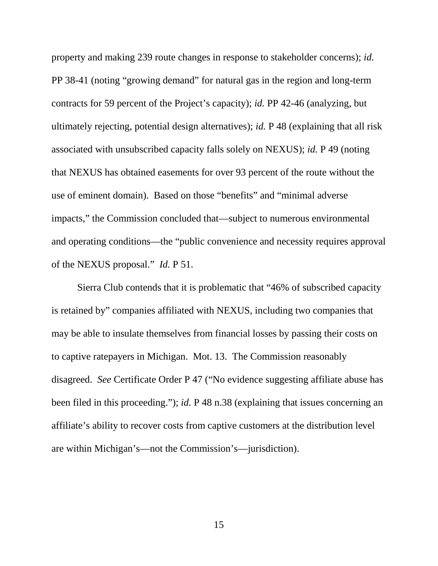property and making 239 route changes in response to stakeholder concerns); *id.* PP 38-41 (noting "growing demand" for natural gas in the region and long-term contracts for 59 percent of the Project's capacity); *id.* PP 42-46 (analyzing, but ultimately rejecting, potential design alternatives); *id.* P 48 (explaining that all risk associated with unsubscribed capacity falls solely on NEXUS); *id.* P 49 (noting that NEXUS has obtained easements for over 93 percent of the route without the use of eminent domain). Based on those "benefits" and "minimal adverse impacts," the Commission concluded that—subject to numerous environmental and operating conditions—the "public convenience and necessity requires approval of the NEXUS proposal." *Id.* P 51.

Sierra Club contends that it is problematic that "46% of subscribed capacity is retained by" companies affiliated with NEXUS, including two companies that may be able to insulate themselves from financial losses by passing their costs on to captive ratepayers in Michigan. Mot. 13. The Commission reasonably disagreed. *See* Certificate Order P 47 ("No evidence suggesting affiliate abuse has been filed in this proceeding."); *id.* P 48 n.38 (explaining that issues concerning an affiliate's ability to recover costs from captive customers at the distribution level are within Michigan's—not the Commission's—jurisdiction).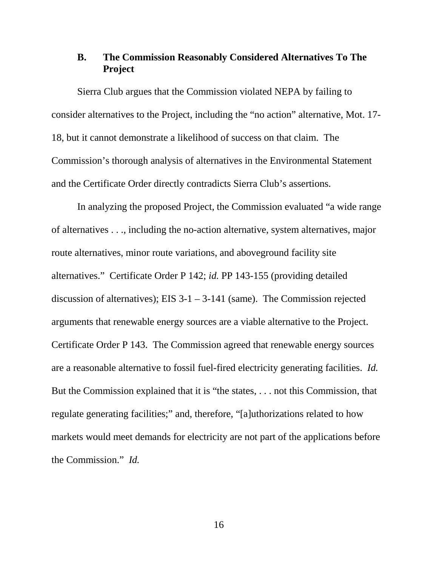## **B. The Commission Reasonably Considered Alternatives To The Project**

Sierra Club argues that the Commission violated NEPA by failing to consider alternatives to the Project, including the "no action" alternative, Mot. 17- 18, but it cannot demonstrate a likelihood of success on that claim. The Commission's thorough analysis of alternatives in the Environmental Statement and the Certificate Order directly contradicts Sierra Club's assertions.

In analyzing the proposed Project, the Commission evaluated "a wide range of alternatives . . ., including the no-action alternative, system alternatives, major route alternatives, minor route variations, and aboveground facility site alternatives." Certificate Order P 142; *id.* PP 143-155 (providing detailed discussion of alternatives); EIS 3-1 – 3-141 (same). The Commission rejected arguments that renewable energy sources are a viable alternative to the Project. Certificate Order P 143. The Commission agreed that renewable energy sources are a reasonable alternative to fossil fuel-fired electricity generating facilities. *Id.* But the Commission explained that it is "the states, . . . not this Commission, that regulate generating facilities;" and, therefore, "[a]uthorizations related to how markets would meet demands for electricity are not part of the applications before the Commission." *Id.*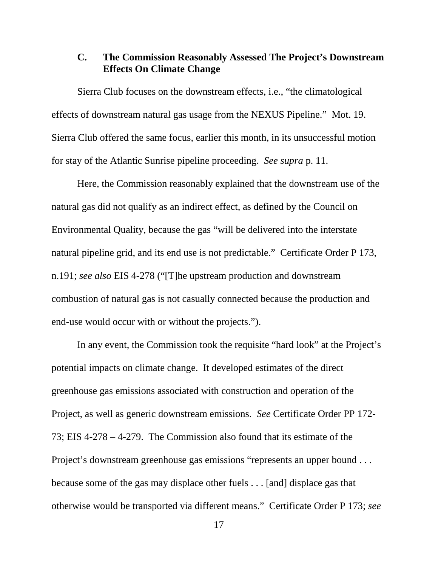#### **C. The Commission Reasonably Assessed The Project's Downstream Effects On Climate Change**

Sierra Club focuses on the downstream effects, i.e., "the climatological effects of downstream natural gas usage from the NEXUS Pipeline." Mot. 19. Sierra Club offered the same focus, earlier this month, in its unsuccessful motion for stay of the Atlantic Sunrise pipeline proceeding. *See supra* p. 11.

Here, the Commission reasonably explained that the downstream use of the natural gas did not qualify as an indirect effect, as defined by the Council on Environmental Quality, because the gas "will be delivered into the interstate natural pipeline grid, and its end use is not predictable." Certificate Order P 173, n.191; *see also* EIS 4-278 ("[T]he upstream production and downstream combustion of natural gas is not casually connected because the production and end-use would occur with or without the projects.").

In any event, the Commission took the requisite "hard look" at the Project's potential impacts on climate change. It developed estimates of the direct greenhouse gas emissions associated with construction and operation of the Project, as well as generic downstream emissions. *See* Certificate Order PP 172- 73; EIS 4-278 – 4-279. The Commission also found that its estimate of the Project's downstream greenhouse gas emissions "represents an upper bound . . . because some of the gas may displace other fuels . . . [and] displace gas that otherwise would be transported via different means." Certificate Order P 173; *see*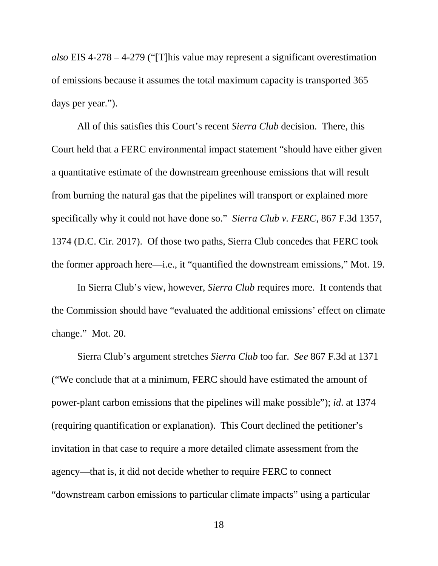*also* EIS 4-278 – 4-279 ("[T]his value may represent a significant overestimation of emissions because it assumes the total maximum capacity is transported 365 days per year.").

All of this satisfies this Court's recent *Sierra Club* decision. There, this Court held that a FERC environmental impact statement "should have either given a quantitative estimate of the downstream greenhouse emissions that will result from burning the natural gas that the pipelines will transport or explained more specifically why it could not have done so." *Sierra Club v. FERC*, 867 F.3d 1357, 1374 (D.C. Cir. 2017). Of those two paths, Sierra Club concedes that FERC took the former approach here—i.e., it "quantified the downstream emissions," Mot. 19.

In Sierra Club's view, however, *Sierra Club* requires more. It contends that the Commission should have "evaluated the additional emissions' effect on climate change." Mot. 20.

Sierra Club's argument stretches *Sierra Club* too far. *See* 867 F.3d at 1371 ("We conclude that at a minimum, FERC should have estimated the amount of power-plant carbon emissions that the pipelines will make possible"); *id*. at 1374 (requiring quantification or explanation). This Court declined the petitioner's invitation in that case to require a more detailed climate assessment from the agency—that is, it did not decide whether to require FERC to connect "downstream carbon emissions to particular climate impacts" using a particular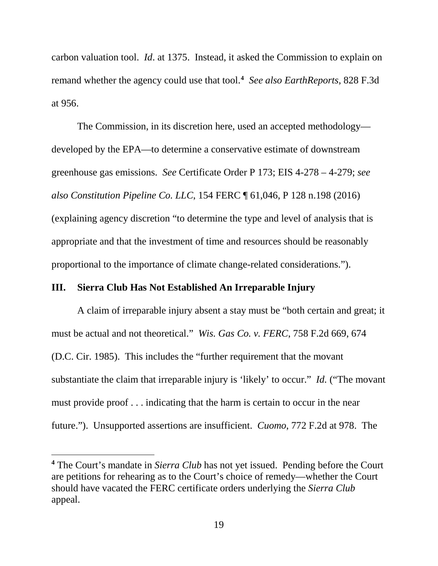carbon valuation tool. *Id*. at 1375. Instead, it asked the Commission to explain on remand whether the agency could use that tool. **[4](#page-26-0)** *See also EarthReports*, 828 F.3d at 956.

The Commission, in its discretion here, used an accepted methodology developed by the EPA—to determine a conservative estimate of downstream greenhouse gas emissions. *See* Certificate Order P 173; EIS 4-278 – 4-279; *see also Constitution Pipeline Co. LLC*, 154 FERC ¶ 61,046, P 128 n.198 (2016) (explaining agency discretion "to determine the type and level of analysis that is appropriate and that the investment of time and resources should be reasonably proportional to the importance of climate change-related considerations.").

#### **III. Sierra Club Has Not Established An Irreparable Injury**

 $\overline{a}$ 

A claim of irreparable injury absent a stay must be "both certain and great; it must be actual and not theoretical." *Wis. Gas Co. v. FERC*, 758 F.2d 669, 674 (D.C. Cir. 1985). This includes the "further requirement that the movant substantiate the claim that irreparable injury is 'likely' to occur." *Id.* ("The movant must provide proof . . . indicating that the harm is certain to occur in the near future."). Unsupported assertions are insufficient. *Cuomo*, 772 F.2d at 978. The

<span id="page-26-0"></span>**<sup>4</sup>** The Court's mandate in *Sierra Club* has not yet issued. Pending before the Court are petitions for rehearing as to the Court's choice of remedy—whether the Court should have vacated the FERC certificate orders underlying the *Sierra Club* appeal.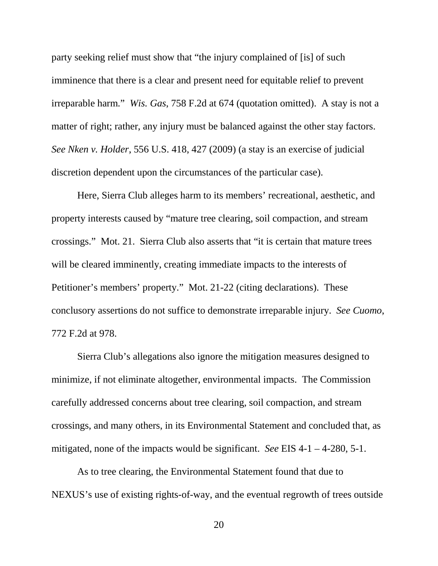party seeking relief must show that "the injury complained of [is] of such imminence that there is a clear and present need for equitable relief to prevent irreparable harm." *Wis. Gas*, 758 F.2d at 674 (quotation omitted). A stay is not a matter of right; rather, any injury must be balanced against the other stay factors. *See Nken v. Holder*, 556 U.S. 418, 427 (2009) (a stay is an exercise of judicial discretion dependent upon the circumstances of the particular case).

Here, Sierra Club alleges harm to its members' recreational, aesthetic, and property interests caused by "mature tree clearing, soil compaction, and stream crossings." Mot. 21. Sierra Club also asserts that "it is certain that mature trees will be cleared imminently, creating immediate impacts to the interests of Petitioner's members' property." Mot. 21-22 (citing declarations). These conclusory assertions do not suffice to demonstrate irreparable injury. *See Cuomo*, 772 F.2d at 978.

Sierra Club's allegations also ignore the mitigation measures designed to minimize, if not eliminate altogether, environmental impacts. The Commission carefully addressed concerns about tree clearing, soil compaction, and stream crossings, and many others, in its Environmental Statement and concluded that, as mitigated, none of the impacts would be significant. *See* EIS 4-1 – 4-280, 5-1.

As to tree clearing, the Environmental Statement found that due to NEXUS's use of existing rights-of-way, and the eventual regrowth of trees outside

20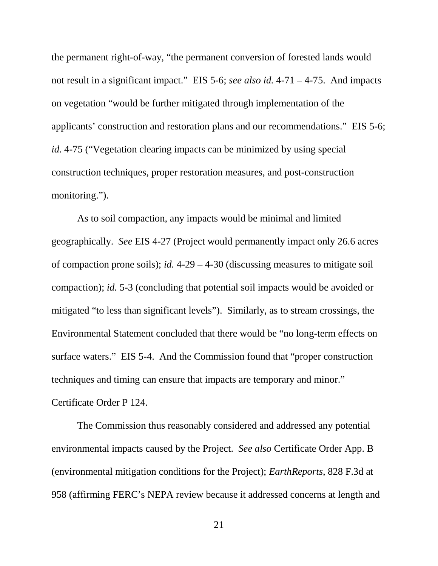the permanent right-of-way, "the permanent conversion of forested lands would not result in a significant impact." EIS 5-6; *see also id.* 4-71 – 4-75. And impacts on vegetation "would be further mitigated through implementation of the applicants' construction and restoration plans and our recommendations." EIS 5-6; *id.* 4-75 ("Vegetation clearing impacts can be minimized by using special construction techniques, proper restoration measures, and post-construction monitoring.").

As to soil compaction, any impacts would be minimal and limited geographically. *See* EIS 4-27 (Project would permanently impact only 26.6 acres of compaction prone soils); *id.* 4-29 – 4-30 (discussing measures to mitigate soil compaction); *id.* 5-3 (concluding that potential soil impacts would be avoided or mitigated "to less than significant levels"). Similarly, as to stream crossings, the Environmental Statement concluded that there would be "no long-term effects on surface waters." EIS 5-4. And the Commission found that "proper construction techniques and timing can ensure that impacts are temporary and minor." Certificate Order P 124.

The Commission thus reasonably considered and addressed any potential environmental impacts caused by the Project. *See also* Certificate Order App. B (environmental mitigation conditions for the Project); *EarthReports*, 828 F.3d at 958 (affirming FERC's NEPA review because it addressed concerns at length and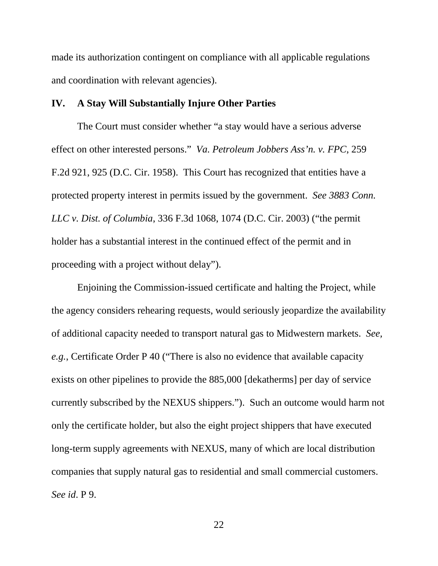made its authorization contingent on compliance with all applicable regulations and coordination with relevant agencies).

#### **IV. A Stay Will Substantially Injure Other Parties**

The Court must consider whether "a stay would have a serious adverse effect on other interested persons." *Va. Petroleum Jobbers Ass'n. v. FPC*, 259 F.2d 921, 925 (D.C. Cir. 1958). This Court has recognized that entities have a protected property interest in permits issued by the government. *See 3883 Conn. LLC v. Dist. of Columbia*, 336 F.3d 1068, 1074 (D.C. Cir. 2003) ("the permit holder has a substantial interest in the continued effect of the permit and in proceeding with a project without delay").

Enjoining the Commission-issued certificate and halting the Project, while the agency considers rehearing requests, would seriously jeopardize the availability of additional capacity needed to transport natural gas to Midwestern markets. *See, e.g.*, Certificate Order P 40 ("There is also no evidence that available capacity exists on other pipelines to provide the 885,000 [dekatherms] per day of service currently subscribed by the NEXUS shippers."). Such an outcome would harm not only the certificate holder, but also the eight project shippers that have executed long-term supply agreements with NEXUS, many of which are local distribution companies that supply natural gas to residential and small commercial customers. *See id*. P 9.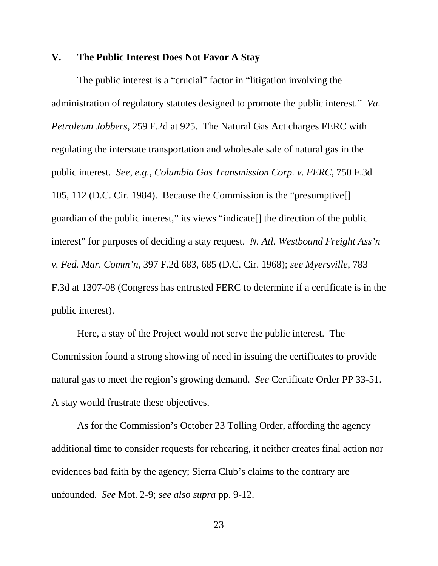#### **V. The Public Interest Does Not Favor A Stay**

The public interest is a "crucial" factor in "litigation involving the administration of regulatory statutes designed to promote the public interest*.*" *Va. Petroleum Jobbers*, 259 F.2d at 925. The Natural Gas Act charges FERC with regulating the interstate transportation and wholesale sale of natural gas in the public interest. *See, e.g., Columbia Gas Transmission Corp. v. FERC*, 750 F.3d 105, 112 (D.C. Cir. 1984). Because the Commission is the "presumptive[] guardian of the public interest," its views "indicate[] the direction of the public interest" for purposes of deciding a stay request. *N. Atl. Westbound Freight Ass'n v. Fed. Mar. Comm'n*, 397 F.2d 683, 685 (D.C. Cir. 1968); *see Myersville*, 783 F.3d at 1307-08 (Congress has entrusted FERC to determine if a certificate is in the public interest).

Here, a stay of the Project would not serve the public interest. The Commission found a strong showing of need in issuing the certificates to provide natural gas to meet the region's growing demand. *See* Certificate Order PP 33-51. A stay would frustrate these objectives.

As for the Commission's October 23 Tolling Order, affording the agency additional time to consider requests for rehearing, it neither creates final action nor evidences bad faith by the agency; Sierra Club's claims to the contrary are unfounded. *See* Mot. 2-9; *see also supra* pp. 9-12.

23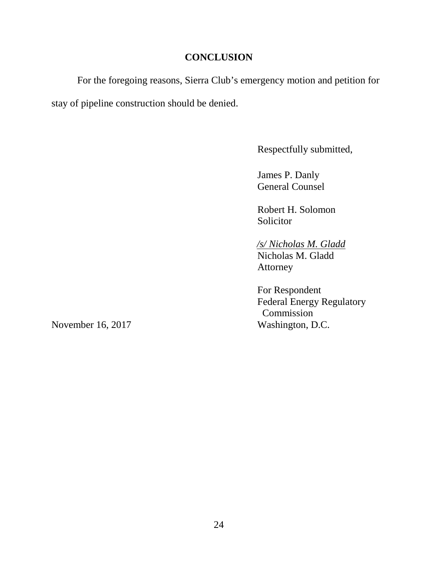## **CONCLUSION**

For the foregoing reasons, Sierra Club's emergency motion and petition for stay of pipeline construction should be denied.

Respectfully submitted,

James P. Danly General Counsel

Robert H. Solomon Solicitor

*/s/ Nicholas M. Gladd* Nicholas M. Gladd Attorney

For Respondent Federal Energy Regulatory Commission November 16, 2017 Washington, D.C.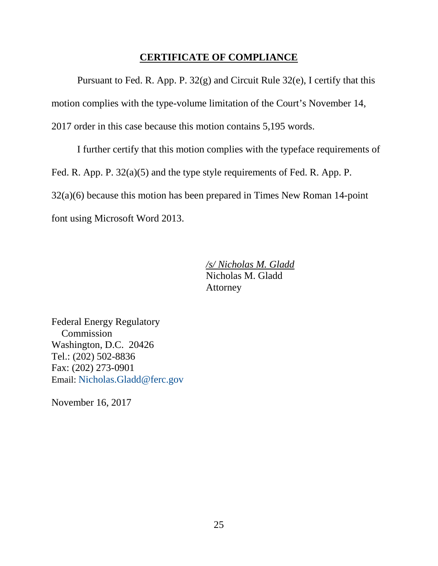#### **CERTIFICATE OF COMPLIANCE**

Pursuant to Fed. R. App. P. 32(g) and Circuit Rule 32(e), I certify that this motion complies with the type-volume limitation of the Court's November 14, 2017 order in this case because this motion contains 5,195 words.

I further certify that this motion complies with the typeface requirements of Fed. R. App. P. 32(a)(5) and the type style requirements of Fed. R. App. P. 32(a)(6) because this motion has been prepared in Times New Roman 14-point font using Microsoft Word 2013.

> */s/ Nicholas M. Gladd* Nicholas M. Gladd Attorney

Federal Energy Regulatory Commission Washington, D.C. 20426 Tel.: (202) 502-8836 Fax: (202) 273-0901 Email: [Nicholas.Gladd@ferc.gov](mailto:Nicholas.Gladd@ferc.gov)

November 16, 2017